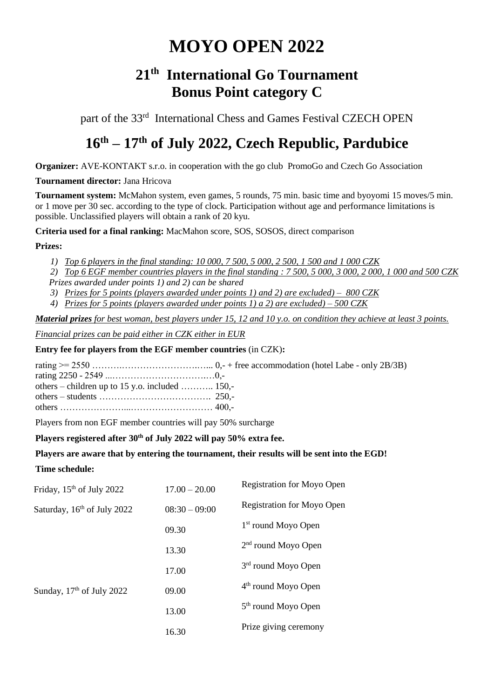# **MOYO OPEN 2022**

## **21th International Go Tournament Bonus Point category C**

part of the 33<sup>rd</sup> International Chess and Games Festival CZECH OPEN

## **16 th – 17 th of July 2022, Czech Republic, Pardubice**

**Organizer:** AVE-KONTAKT s.r.o. in cooperation with the go club PromoGo and Czech Go Association

### **Tournament director:** Jana Hricova

**Tournament system:** McMahon system, even games, 5 rounds, 75 min. basic time and byoyomi 15 moves/5 min. or 1 move per 30 sec. according to the type of clock. Participation without age and performance limitations is possible. Unclassified players will obtain a rank of 20 kyu.

**Criteria used for a final ranking:** MacMahon score, SOS, SOSOS, direct comparison

## **Prizes:**

*1) Top 6 players in the final standing: 10 000, 7 500, 5 000, 2 500, 1 500 and 1 000 CZK*

*2) Top 6 EGF member countries players in the final standing : 7 500, 5 000, 3 000, 2 000, 1 000 and 500 CZK Prizes awarded under points 1) and 2) can be shared*

- *3) Prizes for 5 points (players awarded under points 1) and 2) are excluded) – 800 CZK*
- *4) Prizes for 5 points (players awarded under points 1) a 2) are excluded) – 500 CZK*

*Material prizes for best woman, best players under 15, 12 and 10 y.o. on condition they achieve at least 3 points.*

*Financial prizes can be paid either in CZK either in EUR*

## **Entry fee for players from the EGF member countries** (in CZK)**:**

rating >= 2550 ……….…………………….…... 0,- + free accommodation (hotel Labe - only 2B/3B) rating 2250 - 2549 ...………………………….…0,-

| others – children up to 15 y.o. included  150,- |  |
|-------------------------------------------------|--|
|                                                 |  |
|                                                 |  |

Players from non EGF member countries will pay 50% surcharge

## **Players registered after 30th of July 2022 will pay 50% extra fee.**

## **Players are aware that by entering the tournament, their results will be sent into the EGD!**

## **Time schedule:**

| Friday, 15 <sup>th</sup> of July 2022   | $17.00 - 20.00$ | <b>Registration for Moyo Open</b> |
|-----------------------------------------|-----------------|-----------------------------------|
| Saturday, 16 <sup>th</sup> of July 2022 | $08:30 - 09:00$ | <b>Registration for Moyo Open</b> |
|                                         | 09.30           | 1 <sup>st</sup> round Moyo Open   |
|                                         | 13.30           | $2nd$ round Moyo Open             |
|                                         | 17.00           | 3 <sup>rd</sup> round Moyo Open   |
| Sunday, $17th$ of July 2022             | 09.00           | $4th$ round Moyo Open             |
|                                         | 13.00           | 5 <sup>th</sup> round Moyo Open   |
|                                         |                 | Prize giving ceremony             |
|                                         | 16.30           |                                   |